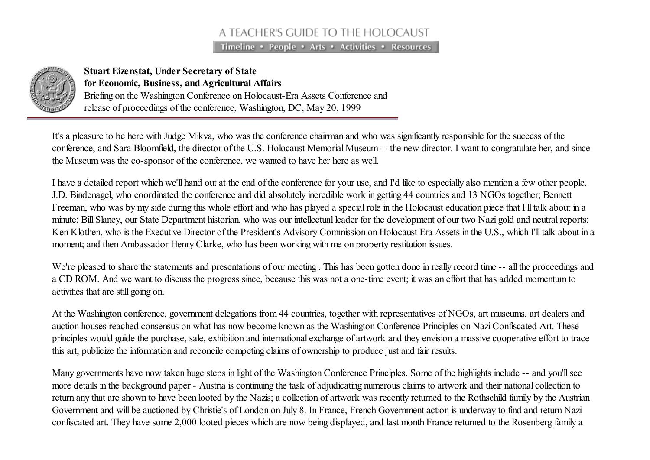## A TEACHER'S GUIDE TO THE HOLOCAUST

Timeline • People • Arts • Activities • Resources



## Stuart Eizenstat, Under Secretary of State for Economic, Business, and Agricultural Affairs Briefing on the Washington Conference on Holocaust-Era Assets Conference and

release of proceedings of the conference, Washington, DC, May 20, 1999

It's a pleasure to be here with Judge Mikva, who was the conference chairman and who was significantly responsible for the success of the conference, and Sara Bloomfield, the director of the U.S. Holocaust Memorial Museum -- the new director. I want to congratulate her, and since the Museum was the co-sponsor of the conference, we wanted to have her here as well.

I have a detailed report which we'll hand out at the end of the conference for your use, and I'd like to especially also mention a few other people. J.D. Bindenagel, who coordinated the conference and did absolutely incredible work in getting 44 countries and 13 NGOs together; Bennett Freeman, who was by my side during this whole effort and who has played a special role in the Holocaust education piece that I'll talk about in a minute; Bill Slaney, our State Department historian, who was our intellectual leader for the development of our two Nazi gold and neutral reports; Ken Klothen, who is the Executive Director of the President's Advisory Commission on Holocaust Era Assets in the U.S., which I'll talk about in a moment; and then Ambassador Henry Clarke, who has been working with me on property restitution issues.

We're pleased to share the statements and presentations of our meeting. This has been gotten done in really record time -- all the proceedings and a CD ROM. And we want to discuss the progress since, because this was not a one-time event; it was an effort that has added momentum to activities that are still going on.

At the Washington conference, government delegations from 44 countries, together with representatives of NGOs, art museums, art dealers and auction houses reached consensus on what has now become known as the Washington Conference Principles on NaziConfiscated Art. These principles would guide the purchase, sale, exhibition and international exchange of artwork and they envision a massive cooperative effort to trace this art, publicize the information and reconcile competing claims of ownership to produce just and fair results.

Many governments have now taken huge steps in light of the Washington Conference Principles. Some of the highlights include -- and you'll see more details in the background paper - Austria is continuing the task of adjudicating numerous claims to artwork and their national collection to return any that are shown to have been looted by the Nazis; a collection of artwork was recently returned to the Rothschild family by the Austrian Government and will be auctioned by Christie's of London on July 8. In France, French Government action is underway to find and return Nazi confiscated art. They have some 2,000 looted pieces which are now being displayed, and last month France returned to the Rosenberg family a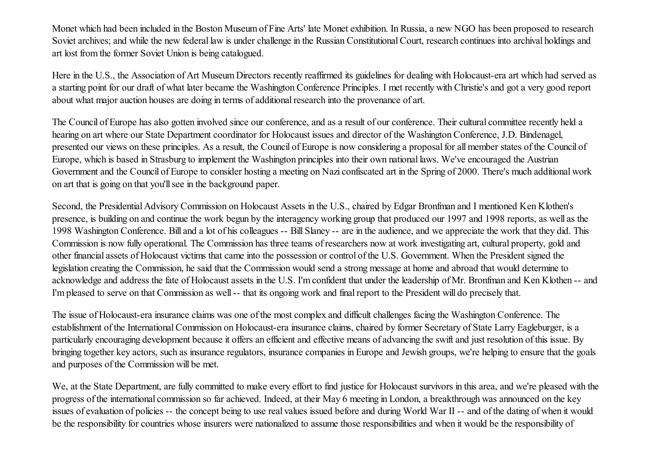Monet which had been included in the Boston Museum of Fine Arts' late Monet exhibition. In Russia, a new NGO has been proposed to research Soviet archives; and while the new federal law is under challenge in the Russian Constitutional Court, research continues into archival holdings and art lost from the former Soviet Union is being catalogued.

Here in the U.S., the Association of Art Museum Directors recently reaffirmed its guidelines for dealing with Holocaust-era art which had served as a starting point for our draft of what later became the Washington Conference Principles. I met recently with Christie's and got a very good report about what major auction houses are doing in terms of additional research into the provenance of art.

The Council of Europe has also gotten involved since our conference, and as a result of our conference. Their cultural committee recently held a hearing on art where our State Department coordinator for Holocaust issues and director of the Washington Conference, J.D. Bindenagel, presented our views on these principles. As a result, the Council of Europe is now considering a proposalfor all member states of the Council of Europe, which is based in Strasburg to implement the Washington principles into their own national laws. We've encouraged the Austrian Government and the Council of Europe to consider hosting a meeting on Nazi confiscated art in the Spring of 2000. There's much additional work on art that is going on that you'llsee in the background paper.

Second, the Presidential Advisory Commission on Holocaust Assets in the U.S., chaired by Edgar Bronfman and I mentioned Ken Klothen's presence, is building on and continue the work begun by the interagency working group that produced our 1997 and 1998 reports, as well as the 1998 Washington Conference. Bill and a lot of his colleagues -- Bill Slaney -- are in the audience, and we appreciate the work that they did. This Commission is now fully operational. The Commission has three teams of researchers now at work investigating art, cultural property, gold and other financial assets of Holocaust victims that came into the possession or control of the U.S. Government. When the President signed the legislation creating the Commission, he said that the Commission would send a strong message at home and abroad that would determine to acknowledge and address the fate of Holocaust assets in the U.S. I'm confident that under the leadership of Mr. Bronfman and Ken Klothen -- and I'm pleased to serve on that Commission as well -- that its ongoing work and final report to the President will do precisely that.

The issue of Holocaust-era insurance claims was one of the most complex and difficult challenges facing the Washington Conference. The establishment of the International Commission on Holocaust-era insurance claims, chaired by former Secretary of State Larry Eagleburger, is a particularly encouraging development because it offers an efficient and effective means of advancing the swift and just resolution of this issue. By bringing together key actors, such as insurance regulators, insurance companies in Europe and Jewish groups, we're helping to ensure that the goals and purposes of the Commission will be met.

We, at the State Department, are fully committed to make every effort to find justice for Holocaust survivors in this area, and we're pleased with the progress of the international commission so far achieved. Indeed, at their May 6 meeting in London, a breakthrough was announced on the key issues of evaluation of policies -- the concept being to use real values issued before and during World War II -- and of the dating of when it would be the responsibility for countries whose insurers were nationalized to assume those responsibilities and when it would be the responsibility of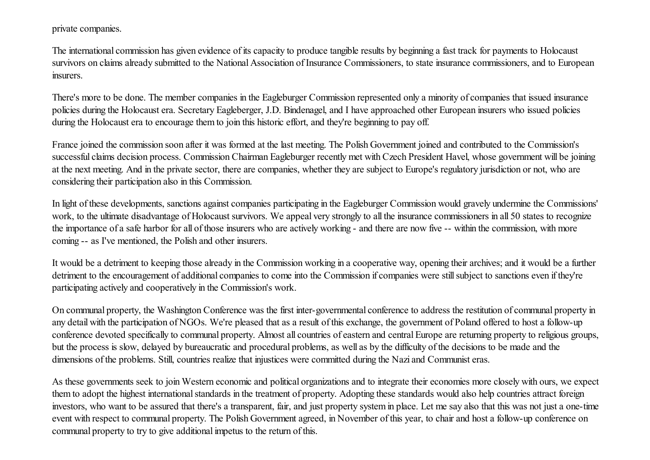private companies.

The international commission has given evidence of its capacity to produce tangible results by beginning a fast track for payments to Holocaust survivors on claims already submitted to the National Association of Insurance Commissioners, to state insurance commissioners, and to European insurers.

There's more to be done. The member companies in the Eagleburger Commission represented only a minority of companies that issued insurance policies during the Holocaust era. Secretary Eagleberger, J.D. Bindenagel, and I have approached other European insurers who issued policies during the Holocaust era to encourage them to join this historic effort, and they're beginning to pay off.

France joined the commission soon after it was formed at the last meeting. The Polish Government joined and contributed to the Commission's successful claims decision process. Commission Chairman Eagleburger recently met with Czech President Havel, whose government will be joining at the next meeting. And in the private sector, there are companies, whether they are subject to Europe's regulatory jurisdiction or not, who are considering their participation also in this Commission.

In light of these developments, sanctions against companies participating in the Eagleburger Commission would gravely undermine the Commissions' work, to the ultimate disadvantage of Holocaust survivors. We appeal very strongly to all the insurance commissioners in all 50 states to recognize the importance of a safe harbor for all of those insurers who are actively working - and there are now five -- within the commission, with more coming -- as I've mentioned, the Polish and other insurers.

It would be a detriment to keeping those already in the Commission working in a cooperative way, opening their archives; and it would be a further detriment to the encouragement of additional companies to come into the Commission if companies were still subject to sanctions even if they're participating actively and cooperatively in the Commission's work.

On communal property, the Washington Conference was the first inter-governmental conference to address the restitution of communal property in any detail with the participation of NGOs. We're pleased that as a result of this exchange, the government of Poland offered to host a follow-up conference devoted specifically to communal property. Almost all countries of eastern and central Europe are returning property to religious groups, but the process is slow, delayed by bureaucratic and procedural problems, as well as by the difficulty of the decisions to be made and the dimensions of the problems. Still, countries realize that injustices were committed during the Nazi and Communist eras.

As these governments seek to join Western economic and political organizations and to integrate their economies more closely with ours, we expect them to adopt the highest international standards in the treatment of property. Adopting these standards would also help countries attract foreign investors, who want to be assured that there's a transparent, fair, and just property system in place. Let me say also that this was not just a one-time event with respect to communal property. The Polish Government agreed, in November of this year, to chair and host a follow-up conference on communal property to try to give additional impetus to the return of this.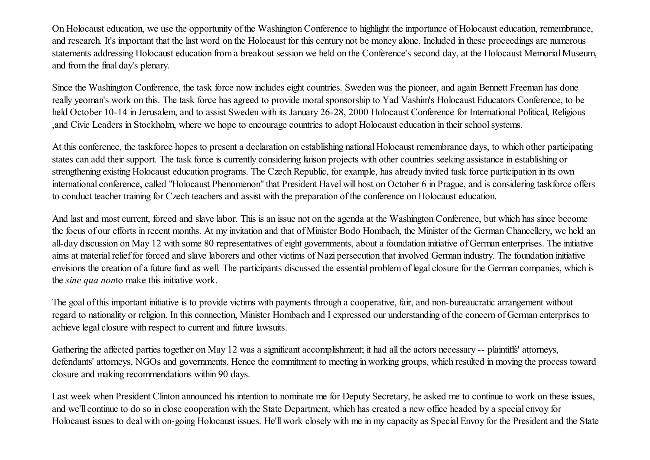On Holocaust education, we use the opportunity of the Washington Conference to highlight the importance of Holocaust education, remembrance, and research. It's important that the last word on the Holocaust for this century not be money alone. Included in these proceedings are numerous statements addressing Holocaust education from a breakout session we held on the Conference's second day, at the Holocaust Memorial Museum, and from the final day's plenary.

Since the Washington Conference, the task force now includes eight countries. Sweden was the pioneer, and again Bennett Freeman has done really yeoman's work on this. The task force has agreed to provide moralsponsorship to Yad Vashim's Holocaust Educators Conference, to be held October 10-14 in Jerusalem, and to assist Sweden with its January 26-28, 2000 Holocaust Conference for International Political, Religious ,and Civic Leaders in Stockholm, where we hope to encourage countries to adopt Holocaust education in their schoolsystems.

At this conference, the taskforce hopes to present a declaration on establishing national Holocaust remembrance days, to which other participating states can add their support. The task force is currently considering liaison projects with other countries seeking assistance in establishing or strengthening existing Holocaust education programs. The Czech Republic, for example, has already invited task force participation in its own international conference, called "Holocaust Phenomenon" that President Havel will host on October 6 in Prague, and is considering taskforce offers to conduct teacher training for Czech teachers and assist with the preparation of the conference on Holocaust education.

And last and most current, forced and slave labor. This is an issue not on the agenda at the Washington Conference, but which has since become the focus of our efforts in recent months. At my invitation and that of Minister Bodo Hombach, the Minister of the German Chancellery, we held an all-day discussion on May 12 with some 80 representatives of eight governments, about a foundation initiative of German enterprises. The initiative aims at material relief for forced and slave laborers and other victims of Nazi persecution that involved German industry. The foundation initiative envisions the creation of a future fund as well. The participants discussed the essential problem of legal closure for the German companies, which is the *sine qua non*to make this initiative work.

The goal of this important initiative is to provide victims with payments through a cooperative, fair, and non-bureaucratic arrangement without regard to nationality or religion. In this connection, Minister Hombach and I expressed our understanding of the concern of German enterprises to achieve legal closure with respect to current and future lawsuits.

Gathering the affected parties together on May 12 was a significant accomplishment; it had all the actors necessary -- plaintiffs' attorneys, defendants' attorneys, NGOs and governments. Hence the commitment to meeting in working groups, which resulted in moving the process toward closure and making recommendations within 90 days.

Last week when President Clinton announced his intention to nominate me for Deputy Secretary, he asked me to continue to work on these issues, and we'll continue to do so in close cooperation with the State Department, which has created a new office headed by a special envoy for Holocaust issues to deal with on-going Holocaust issues. He'll work closely with me in my capacity as Special Envoy for the President and the State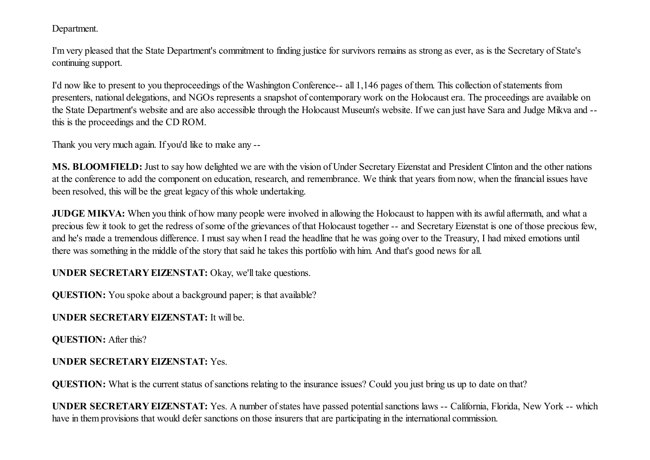Department.

I'm very pleased that the State Department's commitment to finding justice for survivors remains as strong as ever, as is the Secretary of State's continuing support.

I'd now like to present to you theproceedings of the Washington Conference-- all 1,146 pages of them. This collection of statements from presenters, national delegations, and NGOs represents a snapshot of contemporary work on the Holocaust era. The proceedings are available on the State Department's website and are also accessible through the Holocaust Museum's website. If we can just have Sara and Judge Mikva and - this is the proceedings and the CD ROM.

Thank you very much again. If you'd like to make any --

MS. BLOOMFIELD: Just to say how delighted we are with the vision of Under Secretary Eizenstat and President Clinton and the other nations at the conference to add the component on education, research, and remembrance. We think that years from now, when the financial issues have been resolved, this will be the great legacy of this whole undertaking.

JUDGE MIKVA: When you think of how many people were involved in allowing the Holocaust to happen with its awful aftermath, and what a precious few it took to get the redress ofsome of the grievances of that Holocaust together -- and Secretary Eizenstat is one of those precious few, and he's made a tremendous difference. I must say when I read the headline that he was going over to the Treasury, I had mixed emotions until there was something in the middle of the story that said he takes this portfolio with him. And that's good news for all.

UNDER SECRETARY EIZENSTAT: Okay, we'll take questions.

QUESTION: You spoke about a background paper; is that available?

UNDER SECRETARY EIZENSTAT: It will be.

QUESTION: After this?

## UNDER SECRETARY EIZENSTAT: Yes.

QUESTION: What is the current status of sanctions relating to the insurance issues? Could you just bring us up to date on that?

UNDER SECRETARY EIZENSTAT: Yes. A number ofstates have passed potentialsanctions laws -- California, Florida, New York -- which have in them provisions that would defer sanctions on those insurers that are participating in the international commission.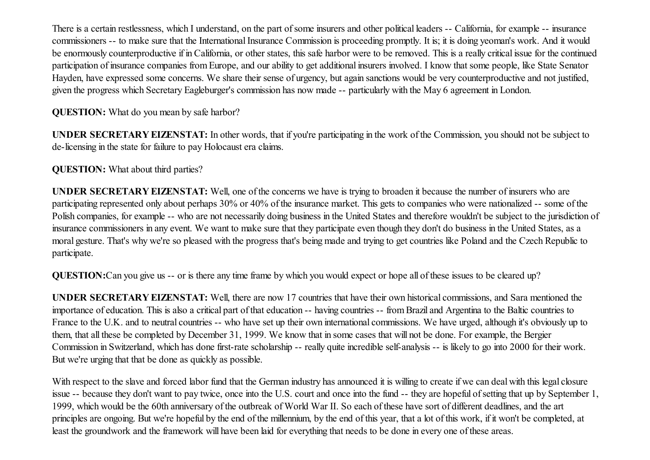There is a certain restlessness, which I understand, on the part of some insurers and other political leaders -- California, for example -- insurance commissioners -- to make sure that the International Insurance Commission is proceeding promptly. It is; it is doing yeoman's work. And it would be enormously counterproductive if in California, or other states, this safe harbor were to be removed. This is a really critical issue for the continued participation of insurance companies from Europe, and our ability to get additional insurers involved. I know that some people, like State Senator Hayden, have expressed some concerns. We share their sense of urgency, but again sanctions would be very counterproductive and not justified, given the progress which Secretary Eagleburger's commission has now made -- particularly with the May 6 agreement in London.

QUESTION: What do you mean by safe harbor?

UNDER SECRETARY EIZENSTAT: In other words, that if you're participating in the work of the Commission, you should not be subject to de-licensing in the state for failure to pay Holocaust era claims.

QUESTION: What about third parties?

UNDER SECRETARY EIZENSTAT: Well, one of the concerns we have is trying to broaden it because the number of insurers who are participating represented only about perhaps 30% or 40% of the insurance market. This gets to companies who were nationalized -- some of the Polish companies, for example -- who are not necessarily doing business in the United States and therefore wouldn't be subject to the jurisdiction of insurance commissioners in any event. We want to make sure that they participate even though they don't do business in the United States, as a moral gesture. That's why we're so pleased with the progress that's being made and trying to get countries like Poland and the Czech Republic to participate.

QUESTION:Can you give us -- or is there any time frame by which you would expect or hope all of these issues to be cleared up?

UNDER SECRETARY EIZENSTAT: Well, there are now 17 countries that have their own historical commissions, and Sara mentioned the importance of education. This is also a critical part of that education -- having countries -- from Brazil and Argentina to the Baltic countries to France to the U.K. and to neutral countries -- who have set up their own international commissions. We have urged, although it's obviously up to them, that all these be completed by December 31, 1999. We know that in some cases that will not be done. For example, the Bergier Commission in Switzerland, which has done first-rate scholarship -- really quite incredible self-analysis -- is likely to go into 2000 for their work. But we're urging that that be done as quickly as possible.

With respect to the slave and forced labor fund that the German industry has announced it is willing to create if we can deal with this legal closure issue -- because they don't want to pay twice, once into the U.S. court and once into the fund -- they are hopeful ofsetting that up by September 1, 1999, which would be the 60th anniversary of the outbreak of World War II. So each of these have sort of different deadlines, and the art principles are ongoing. But we're hopeful by the end of the millennium, by the end of this year, that a lot of this work, if it won't be completed, at least the groundwork and the framework will have been laid for everything that needs to be done in every one of these areas.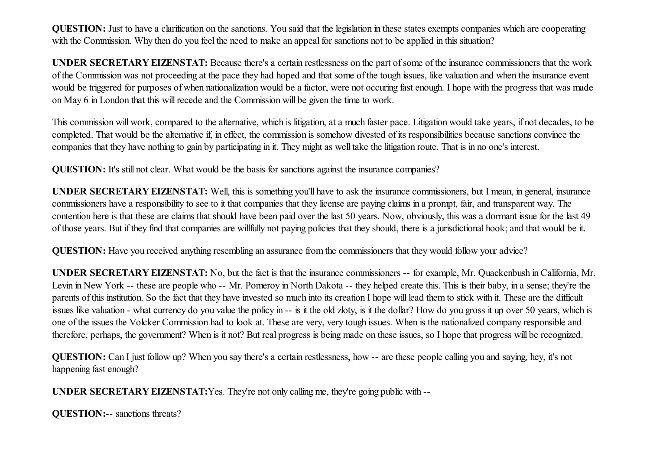QUESTION: Just to have a clarification on the sanctions. You said that the legislation in these states exempts companies which are cooperating with the Commission. Why then do you feel the need to make an appeal for sanctions not to be applied in this situation?

UNDER SECRETARY EIZENSTAT: Because there's a certain restlessness on the part ofsome of the insurance commissioners that the work of the Commission was not proceeding at the pace they had hoped and that some of the tough issues, like valuation and when the insurance event would be triggered for purposes of when nationalization would be a factor, were not occuring fast enough. I hope with the progress that was made on May 6 in London that this willrecede and the Commission will be given the time to work.

This commission will work, compared to the alternative, which is litigation, at a much faster pace. Litigation would take years, if not decades, to be completed. That would be the alternative if, in effect, the commission is somehow divested of its responsibilities because sanctions convince the companies that they have nothing to gain by participating in it. They might as well take the litigation route. That is in no one's interest.

QUESTION: It's still not clear. What would be the basis for sanctions against the insurance companies?

UNDER SECRETARY EIZENSTAT: Well, this is something you'll have to ask the insurance commissioners, but I mean, in general, insurance commissioners have a responsibility to see to it that companies that they license are paying claims in a prompt, fair, and transparent way. The contention here is that these are claims that should have been paid over the last 50 years. Now, obviously, this was a dormant issue for the last 49 of those years. But if they find that companies are willfully not paying policies that they should, there is a jurisdictional hook; and that would be it.

QUESTION: Have you received anything resembling an assurance from the commissioners that they would follow your advice?

UNDER SECRETARY EIZENSTAT: No, but the fact is that the insurance commissioners -- for example, Mr. Quackenbush in California, Mr. Levin in New York -- these are people who -- Mr. Pomeroy in North Dakota -- they helped create this. This is their baby, in a sense; they're the parents of this institution. So the fact that they have invested so much into its creation I hope will lead them to stick with it. These are the difficult issues like valuation - what currency do you value the policy in -- is it the old zloty, is it the dollar? How do you gross it up over 50 years, which is one of the issues the Volcker Commission had to look at. These are very, very tough issues. When is the nationalized company responsible and therefore, perhaps, the government? When is it not? But real progress is being made on these issues, so I hope that progress will be recognized.

QUESTION: Can I just follow up? When you say there's a certain restlessness, how -- are these people calling you and saying, hey, it's not happening fast enough?

UNDER SECRETARY EIZENSTAT:Yes. They're not only calling me, they're going public with --

QUESTION:-- sanctions threats?